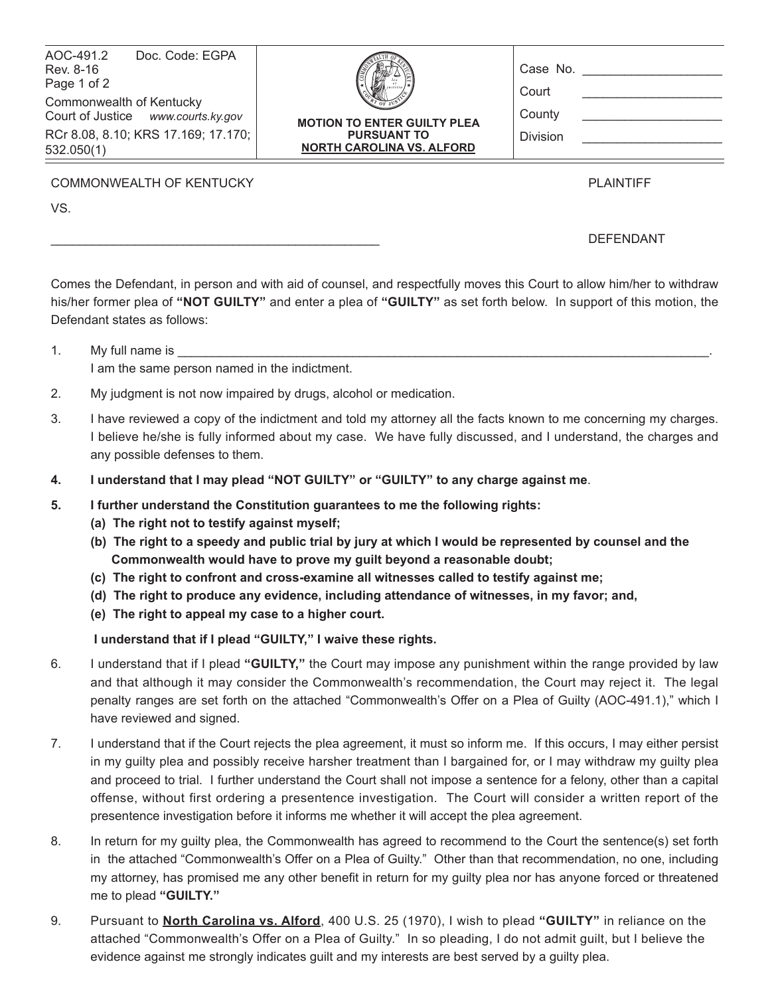| AOC-491.2<br>Doc. Code: EGPA<br>Rev. 8-16<br>Page 1 of 2<br>Commonwealth of Kentucky<br>Court of Justice www.courts.ky.gov<br>RCr 8.08, 8.10; KRS 17.169; 17.170;<br>532.050(1) | <b>MOTION TO ENTER GUILTY PLEA</b><br><b>PURSUANT TO</b><br><b>NORTH CAROLINA VS. ALFORD</b> | Case No.<br>Court<br>County<br><b>Division</b> |
|---------------------------------------------------------------------------------------------------------------------------------------------------------------------------------|----------------------------------------------------------------------------------------------|------------------------------------------------|
| <b>COMMONWEALTH OF KENTUCKY</b>                                                                                                                                                 |                                                                                              | <b>PLAINTIFF</b>                               |

VS.

## \_\_\_\_\_\_\_\_\_\_\_\_\_\_\_\_\_\_\_\_\_\_\_\_\_\_\_\_\_\_\_\_\_\_\_\_\_\_\_\_\_\_\_\_\_\_\_ DEFENDANT

Comes the Defendant, in person and with aid of counsel, and respectfully moves this Court to allow him/her to withdraw his/her former plea of **"NOT GUILTY"** and enter a plea of **"GUILTY"** as set forth below. In support of this motion, the Defendant states as follows:

- 1. My full name is I am the same person named in the indictment.
- 2. My judgment is not now impaired by drugs, alcohol or medication.
- 3. I have reviewed a copy of the indictment and told my attorney all the facts known to me concerning my charges. I believe he/she is fully informed about my case. We have fully discussed, and I understand, the charges and any possible defenses to them.
- **4. I understand that I may plead "NOT GUILTY" or "GUILTY" to any charge against me**.
- **5. I further understand the Constitution guarantees to me the following rights:**
	- **(a) The right not to testify against myself;**
	- **(b) The right to a speedy and public trial by jury at which I would be represented by counsel and the Commonwealth would have to prove my guilt beyond a reasonable doubt;**
	- **(c) The right to confront and cross-examine all witnesses called to testify against me;**
	- **(d) The right to produce any evidence, including attendance of witnesses, in my favor; and,**
	- **(e) The right to appeal my case to a higher court.**

 **I understand that if I plead "GUILTY," I waive these rights.**

- 6. I understand that if I plead **"GUILTY,"** the Court may impose any punishment within the range provided by law and that although it may consider the Commonwealth's recommendation, the Court may reject it. The legal penalty ranges are set forth on the attached "Commonwealth's Offer on a Plea of Guilty (AOC-491.1)," which I have reviewed and signed.
- 7. I understand that if the Court rejects the plea agreement, it must so inform me. If this occurs, I may either persist in my guilty plea and possibly receive harsher treatment than I bargained for, or I may withdraw my guilty plea and proceed to trial. I further understand the Court shall not impose a sentence for a felony, other than a capital offense, without first ordering a presentence investigation. The Court will consider a written report of the presentence investigation before it informs me whether it will accept the plea agreement.
- 8. In return for my guilty plea, the Commonwealth has agreed to recommend to the Court the sentence(s) set forth in the attached "Commonwealth's Offer on a Plea of Guilty." Other than that recommendation, no one, including my attorney, has promised me any other benefit in return for my guilty plea nor has anyone forced or threatened me to plead **"GUILTY."**
- 9. Pursuant to **North Carolina vs. Alford**, 400 U.S. 25 (1970), I wish to plead **"GUILTY"** in reliance on the attached "Commonwealth's Offer on a Plea of Guilty." In so pleading, I do not admit guilt, but I believe the evidence against me strongly indicates guilt and my interests are best served by a guilty plea.